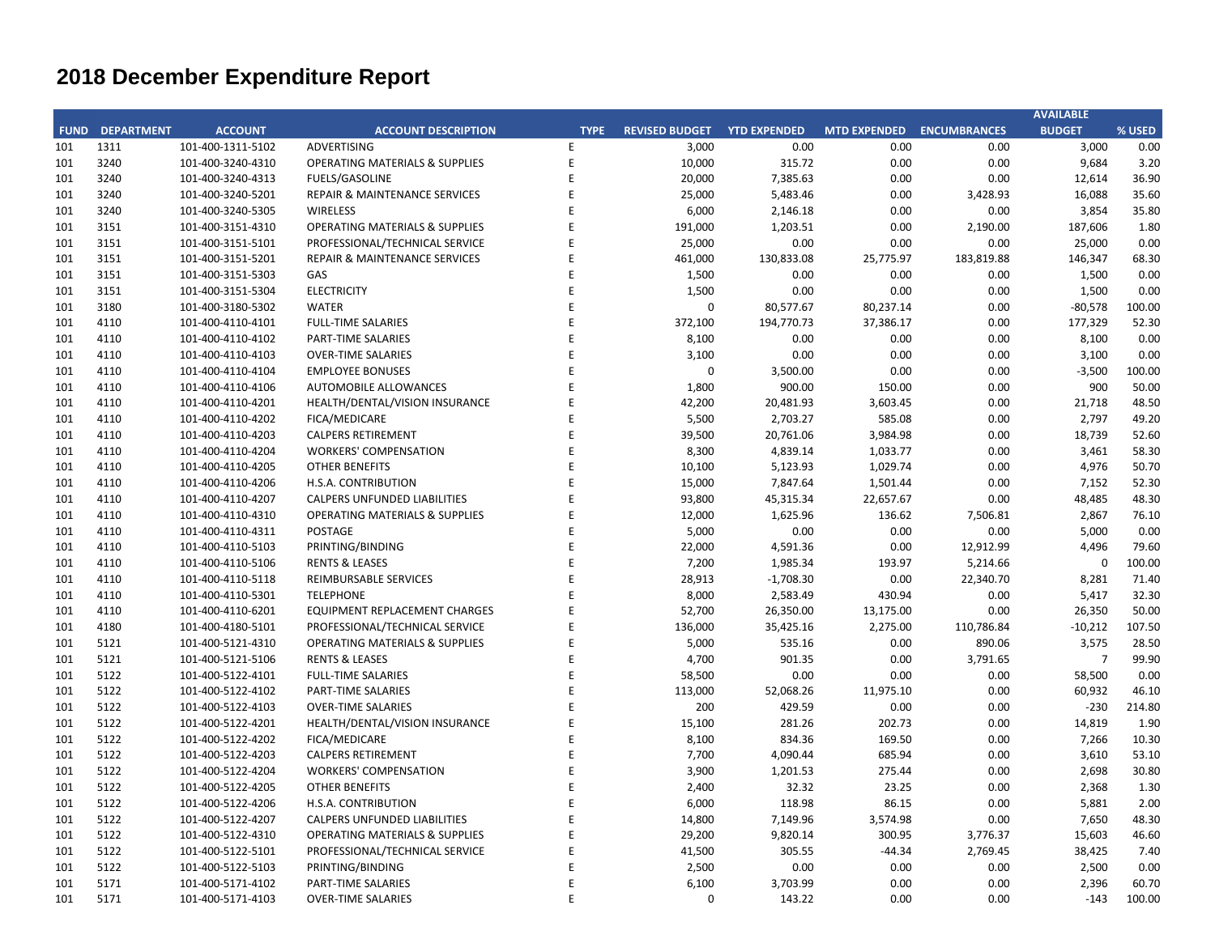## **CITY OF RANCHO PALOS VERDES SUMMARY OF EXPENDITURES - ALL FUNDS December 31, 2019**

|                                                                             |                                                                  |                       |                    | FY 2019-20         |                                        | FY 2018-19  |                                        |                                                   |            |
|-----------------------------------------------------------------------------|------------------------------------------------------------------|-----------------------|--------------------|--------------------|----------------------------------------|-------------|----------------------------------------|---------------------------------------------------|------------|
| <b>FUND</b>                                                                 | <b>FUND DESCRIPTION</b>                                          | <b>REVISED BUDGET</b> | <b>YTD ACTUALS</b> | <b>YTD ENCUMB.</b> | <b>YTD ACTUALS +</b><br><b>ENCUMB.</b> | <b>USED</b> | <b>YTD ACTUALS +</b><br><b>ENCUMB.</b> | YEAR OVER YEAR CHANGE<br><b>ACTUALS + ENCUMB.</b> |            |
|                                                                             | <b>101 GENERAL FUND</b>                                          |                       |                    |                    |                                        |             |                                        |                                                   |            |
|                                                                             | <b>CITY COUNCIL</b>                                              | \$<br>123,200         | \$<br>46,384 \$    | $1,500$ \$         | 47,884                                 | 38.9%       | \$<br>66,598                           | (518, 714)                                        | $-28.1%$   |
|                                                                             | 925,000<br><b>LEGAL SERVICES</b><br><b>CITY CLERK</b><br>711,100 |                       | 545,316            | $\mathbf{0}$       | 545,316                                | 59.0%       | 454,949                                | 90,366                                            | 19.9%      |
|                                                                             |                                                                  |                       | 589,989            | 4,086              | 594,075                                | 83.5%       | 217,569                                | 376,505                                           | 173.1%     |
|                                                                             | <b>CITY MANAGER</b>                                              | 778,000               | 341,140            | 236                | 341,376                                | 43.9%       | 466,380                                | (125,004)                                         | $-26.8%$   |
|                                                                             | <b>CITY ADMINISTRATION</b>                                       | 493,300               | 103,693            | 80,063             | 183,756                                | 37.3%       | 239,320                                | (55, 564)                                         | $-23.2%$   |
| <b>HUMAN RESOURCES</b><br><b>INFORMATION TECHNOLOGIES</b><br><b>FINANCE</b> |                                                                  | 447,426               | 190,973            | 9,617              | 200,590                                | 44.8%       | 181,515                                | 19,076                                            | 10.5%      |
|                                                                             |                                                                  | 1,197,689             | 501,012            | 207,274            | 708,286                                | 59.1%       | 807,676                                | (99, 390)                                         | $-12.3%$   |
|                                                                             |                                                                  | 1,657,362             | 861,908            | 49,296             | 911,204                                | 55.0%       | 779,750                                | 131,454                                           | 16.9%      |
|                                                                             | <b>PUBLIC WORKS</b>                                              | 6,526,060             | 2,535,427          | 2,280,159          | 4,815,586                              | 73.8%       | 3,419,876                              | 1,395,710                                         | 40.8%      |
|                                                                             | <b>COMMUNITY DEVELOPMENT</b>                                     | 3,814,848             | 1,482,452          | 504,005            | 1,986,457                              | 52.1%       | 2,111,067                              | (124, 610)                                        | $-5.9%$    |
|                                                                             | <b>RECREATIONAL &amp; PARKS</b>                                  | 3,052,864             | 1,332,704          | 61,662             | 1,394,366                              | 45.7%       | 1,462,983                              | (68, 617)                                         | $-4.7%$    |
|                                                                             | <b>PUBLIC SAFETY</b>                                             | 7,404,700             | 3,897,354          | 4,099,258          | 7,996,612                              | 108.0%      | 7,634,030                              | 362,582                                           | 4.7%       |
|                                                                             | NON-DEPARTMENTAL                                                 | 1,506,861             | 663,698            | 95,801             | 759,499                                | 50.4%       | 595,825                                | 163,674                                           | 27.5%      |
|                                                                             | <b>TRANSFERS OUT</b>                                             | 4,116,900             | 2,058,450          | $\mathbf{0}$       | 2,058,450                              | 50.0%       | 2,282,350                              | (223,900)                                         | $-9.8%$    |
|                                                                             | <b>TOTAL GENERAL FUND</b>                                        | 32,755,309            | 15,150,498         | 7,392,957          | 22,543,455                             | 68.8%       | 20,719,887                             | 1,823,568                                         | 8.8%       |
|                                                                             |                                                                  |                       |                    |                    |                                        |             |                                        |                                                   |            |
|                                                                             | <b>200 SPECIAL REVENUE FUNDS</b>                                 |                       |                    |                    |                                        |             |                                        |                                                   |            |
|                                                                             | 202 STREET MAINTENANCE                                           | 2,586,800             | 544,845            | 463,506            | 1,008,351                              | 39.0%       | 1,326,696                              | (318, 345)                                        | $-24.0%$   |
|                                                                             | 203 1972 ACT LANDSCAPING & LIGHTING                              | $\mathbf 0$           | $\mathbf{0}$       | $\mathbf{0}$       | $\mathbf 0$                            | 0.0%        | $\mathbf 0$                            | $\mathbf{0}$                                      | 0.0%       |
|                                                                             | 209 EL PRADO LIGHTING DISTRICT                                   | 800                   | $\mathbf 0$        | $\mathbf 0$        | 0                                      | 0.0%        | 625                                    | (625)                                             | $-100.0\%$ |
|                                                                             | 211 1911 ACT STREET LIGHTING                                     | 1,011,941             | 724,818            | 564,580            | 1,289,398                              | 127.4%      | 1,775,148                              | (485, 750)                                        | $-27.4%$   |
|                                                                             | 212 BEAUTIFICATION                                               | $\mathbf 0$           | 0                  | 0                  | 0                                      | 0.0%        | 314,937                                | (314, 937)                                        | $-100.0\%$ |
|                                                                             | 213 WASTE REDUCTION                                              | 304,100               | 118,301            | 83,783             | 202,084                                | 66.5%       | 172,954                                | 29,130                                            | 16.8%      |
|                                                                             | 214 AIR QUALITY MANAGEMENT                                       | 50,000                | 0                  | 0                  | $\mathsf 0$                            | 0.0%        | 50,000                                 | (50,000)                                          | $-100.0%$  |
|                                                                             | 215 PROPOSITION C                                                | 1,111,401             | 137,339            | 666,479            | 803,817                                | 72.3%       | 660,000                                | 143,817                                           | 21.8%      |
|                                                                             | 216 PROPOSITION A                                                | 1,206,993             | 21,816             | 25,696             | 47,513                                 | 3.9%        | 729,114                                | (681, 602)                                        | $-93.5%$   |
|                                                                             | 217 PUBLIC SAFETY GRANTS                                         | 175,000               | 87,500             | $\mathbf 0$        | 87,500                                 | 50.0%       | 65,000                                 | 22,500                                            | 34.6%      |
|                                                                             | 220 MEASURE R                                                    | 963,706               | 12,605             | 351,065            | 363,669                                | 37.7%       | 303,711                                | 59,959                                            | 19.7%      |
|                                                                             | 221 MEASURE M                                                    | 536,000               | 310,113            | 309,078            | 619,191                                | 115.5%      | 604,577                                | 14,614                                            | 2.4%       |
|                                                                             | 222 HABITAT RESTORATION                                          | 179,500               | 76,619             | 102,878            | 179,497                                | 100.0%      | 149,500                                | 29,997                                            | 20.1%      |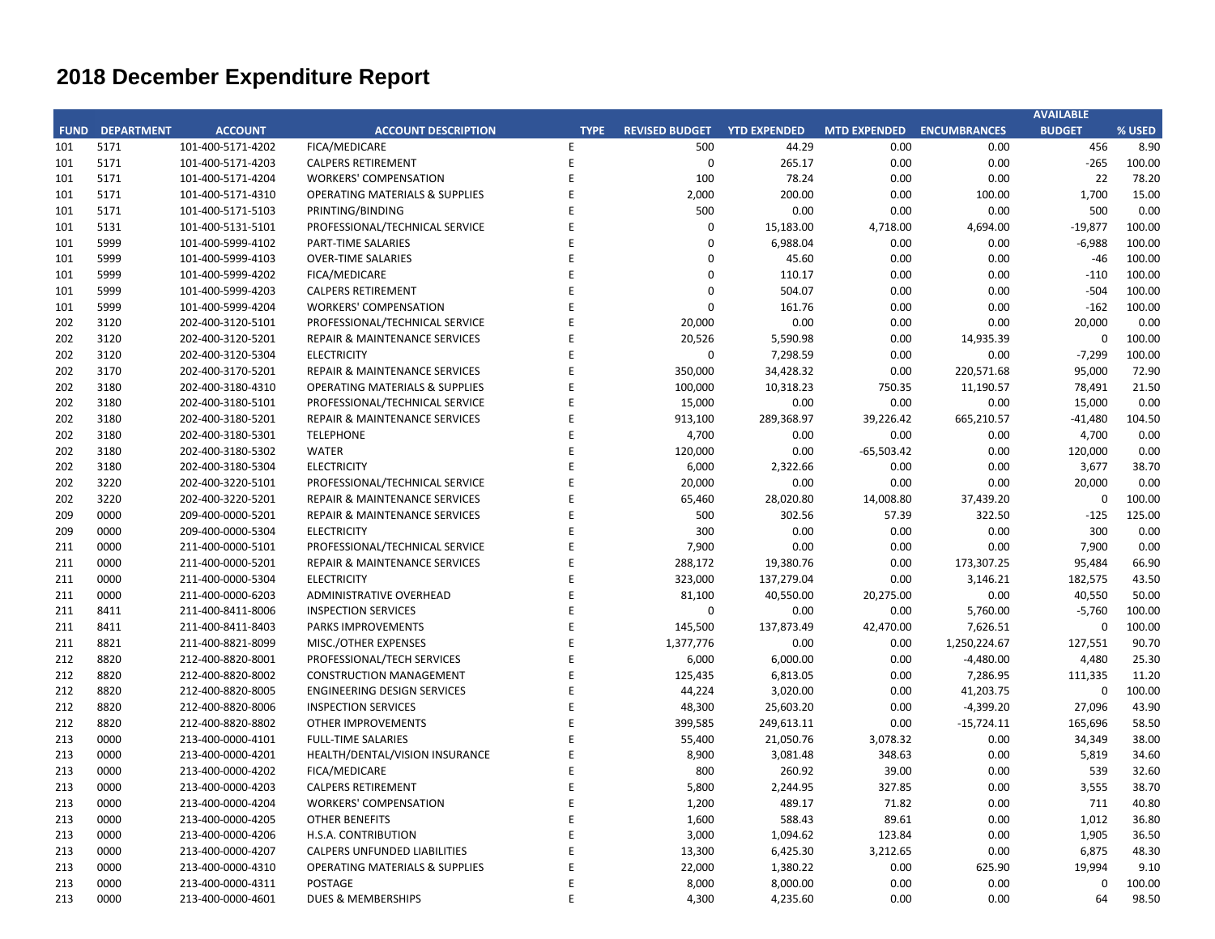## **CITY OF RANCHO PALOS VERDES SUMMARY OF EXPENDITURES - ALL FUNDS December 31, 2019**

|             |                                          |                       |                    | FY 2019-20         |                                        |             | FY 2018-19                             |                                                   |           |
|-------------|------------------------------------------|-----------------------|--------------------|--------------------|----------------------------------------|-------------|----------------------------------------|---------------------------------------------------|-----------|
| <b>FUND</b> | <b>FUND DESCRIPTION</b>                  | <b>REVISED BUDGET</b> | <b>YTD ACTUALS</b> | <b>YTD ENCUMB.</b> | <b>YTD ACTUALS +</b><br><b>ENCUMB.</b> | <b>USED</b> | <b>YTD ACTUALS +</b><br><b>ENCUMB.</b> | YEAR OVER YEAR CHANGE<br><b>ACTUALS + ENCUMB.</b> |           |
|             | 223 SUBREGION ONE MAINTENANCE            | 46,800                | 21,540             | 16,570             | 38,110                                 | 81.4%       | 39,400                                 | (1, 290)                                          | $-3.3%$   |
|             | 224 MEASURE A MAINTENANCE                | 100,000               | 50,000             | $\Omega$           | 50,000                                 | 50.0%       | 45,000                                 | 5,000                                             | 11.1%     |
|             | 225 ABALONE COVE SEWER DISTRICT          | 648,100               | 41,272             | 25,269             | 66,541                                 | 10.3%       | 15,195                                 | 51,346                                            | 337.9%    |
| 227         | GINSBERG CULTURAL ARTS BLDG.             | 0                     | 1,045              | 0                  | 1,045                                  | 0.0%        | 0                                      | 1,045                                             | 0.0%      |
|             | 228 DONOR RESTRICTED CONTRIBUTIONS       | 32,331                | 5,037              | 18,144             | 23,181                                 | 71.7%       | 169,388                                | (146, 207)                                        | $-86.3%$  |
|             | <b>TOTAL SPECIAL REVENUE FUNDS</b>       | 8,953,472             | 2,152,849          | 2,627,049          | 4,779,897                              | 53.4%       | 6,421,245                              | (1,641,347)                                       | $-25.6%$  |
|             |                                          |                       |                    |                    |                                        |             |                                        |                                                   |           |
| 300         | <b>CAPITAL PROJECTS FUNDS</b>            |                       |                    |                    |                                        |             |                                        |                                                   |           |
| 310         | COMMUNITY DEVELOPMENT BLOCK GRANT (CDBG) | 316,100               | 36,375             | 124,886            | 161,261                                | 51.0%       | 229,300                                | (68,039)                                          | $-29.7%$  |
| 330         | <b>INFRASTRUCTURE IMPROVEMENTS</b>       | 13,692,966            | 2,950,221          | 4,738,713          | 7,688,934                              | 56.2%       | 6,518,249                              | 1,170,685                                         | 18.0%     |
|             | 331 FEDERAL GRANTS                       | 0                     | 0                  | $\mathbf 0$        | 0                                      | 0.0%        | 158,000                                | (158,000)                                         | $-100.0%$ |
|             | 332 STATE GRANTS                         | 563,665               | 81,791             | 450,314            | 532,106                                | 94.4%       | 744,320                                | (212, 214)                                        | $-28.5%$  |
|             | 334 QUIMBY PARK DEVELOPMENT              | 895,527               | 534,069            | 328,637            | 862,706                                | 96.3%       | 541,908                                | 320,798                                           | 59.2%     |
|             | 336 LOW-MODERATE INCOME HOUSING          | $\mathbf 0$           | $\mathbf{0}$       | $\mathbf{0}$       | $\mathbf 0$                            | 0.0%        | $\mathbf 0$                            | $\mathbf{0}$                                      | 0.0%      |
|             | 337 AFFORDABLE HOUSING PROJECTS          | 0                     | 0                  | 0                  | 0                                      | 0.0%        | 0                                      | $\Omega$                                          | 0.0%      |
|             | 338 DEVELOPMENT IMPACT MITIGATION (EET)  | 310,000               | 136,047            | 224,387            | 360,435                                | 116.3%      | 0                                      | 360,435                                           | 0.0%      |
|             | 340 BICYCLE & PEDESTRIAN ACCESS          | $\mathbf 0$           | $\mathbf 0$        | $\mathbf 0$        | $\mathbf 0$                            | 0.0%        | 0                                      | $\mathbf 0$                                       | 0.0%      |
|             | <b>TOTAL CAPITAL PROJECTS FUNDS</b>      | 15,778,258            | 3,738,503          | 5,866,938          | 9,605,441                              | 60.9%       | 8,191,776                              | 1,413,665                                         | 17.3%     |
|             |                                          |                       |                    |                    |                                        |             |                                        |                                                   |           |
| 500         | <b>ENTERPRISE FUNDS</b>                  |                       |                    |                    |                                        |             |                                        |                                                   |           |
|             | 501 WATER QUALITY FLOOD PROTECTION       | 0                     | 327,211            | 0                  | 327,211                                | 0.0%        | 327,211                                | $\mathbf 0$                                       | 0.0%      |
|             | <b>TOTAL ENTERPRISE FUNDS</b>            | $\mathbf{0}$          | 327,211            | $\mathbf{0}$       | 327,211                                | 0.0%        | 327,211                                | $\mathbf{0}$                                      | 0.0%      |
|             | <b>600 INTERNAL SERVICE FUND</b>         |                       |                    |                    |                                        |             |                                        |                                                   |           |
| 681         | <b>EQUIPMENT REPLACEMENT</b>             | 800,382               | 187,160            | 293,385            | 480,545                                | 60.0%       | 361,981                                | 118,564                                           | 32.8%     |
|             | <b>685 EMPLOYEE BENEFITS</b>             | $\mathbf 0$           | $\mathbf{0}$       | $\mathbf{0}$       | $\mathbf{0}$                           | 0.0%        | $\mathbf 0$                            | $\mathbf 0$                                       | 0.0%      |
|             | <b>TOTAL INTERNAL SERVICE FUNDS</b>      | 800,382               | 187,160            | 293,385            | 480,545                                | 60.0%       | 361,981                                | 118,564                                           | 32.8%     |
|             |                                          |                       |                    |                    |                                        |             |                                        |                                                   |           |
|             | <b>REDEVELOPMENT AGENCY</b>              |                       |                    |                    |                                        |             |                                        |                                                   |           |
|             | 701 REDEVELOPMENT OBLIGATION             | 0                     | 1,726              | 0                  | 1,726                                  | 0.0%        | 1,916                                  | (190)                                             | $-9.9%$   |
|             | <b>TOTAL REDEVELOPMENT AGENCY</b>        | $\mathbf{0}$          | 1,726              | $\mathbf{0}$       | 1,726                                  | 0.0%        | 1,916                                  | (190)                                             | $-9.9%$   |